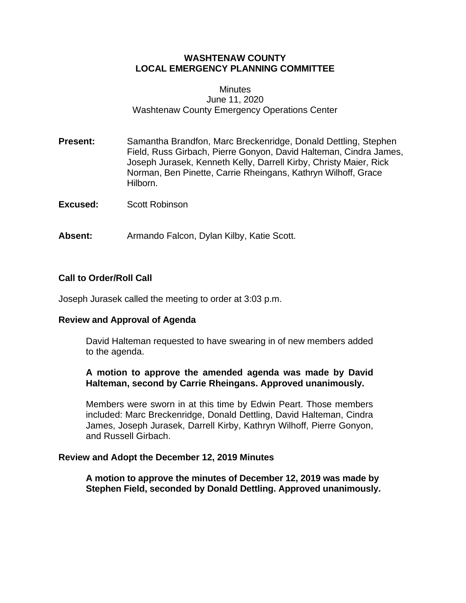## **WASHTENAW COUNTY LOCAL EMERGENCY PLANNING COMMITTEE**

#### **Minutes** June 11, 2020 Washtenaw County Emergency Operations Center

- **Present:** Samantha Brandfon, Marc Breckenridge, Donald Dettling, Stephen Field, Russ Girbach, Pierre Gonyon, David Halteman, Cindra James, Joseph Jurasek, Kenneth Kelly, Darrell Kirby, Christy Maier, Rick Norman, Ben Pinette, Carrie Rheingans, Kathryn Wilhoff, Grace Hilborn.
- **Excused:** Scott Robinson
- **Absent:** Armando Falcon, Dylan Kilby, Katie Scott.

## **Call to Order/Roll Call**

Joseph Jurasek called the meeting to order at 3:03 p.m.

#### **Review and Approval of Agenda**

David Halteman requested to have swearing in of new members added to the agenda.

## **A motion to approve the amended agenda was made by David Halteman, second by Carrie Rheingans. Approved unanimously.**

Members were sworn in at this time by Edwin Peart. Those members included: Marc Breckenridge, Donald Dettling, David Halteman, Cindra James, Joseph Jurasek, Darrell Kirby, Kathryn Wilhoff, Pierre Gonyon, and Russell Girbach.

#### **Review and Adopt the December 12, 2019 Minutes**

**A motion to approve the minutes of December 12, 2019 was made by Stephen Field, seconded by Donald Dettling. Approved unanimously.**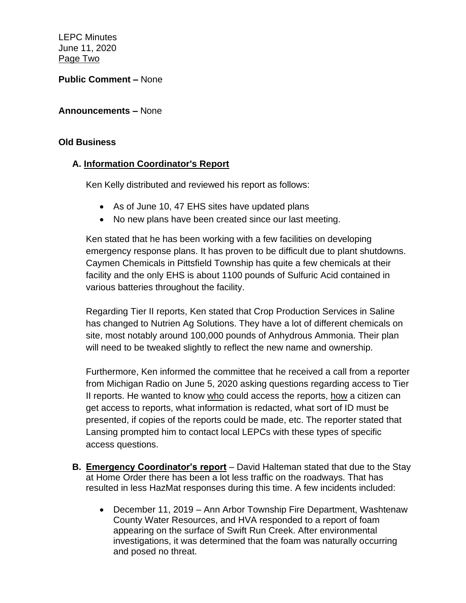LEPC Minutes June 11, 2020 Page Two

**Public Comment –** None

## **Announcements –** None

#### **Old Business**

## **A. Information Coordinator's Report**

Ken Kelly distributed and reviewed his report as follows:

- As of June 10, 47 EHS sites have updated plans
- No new plans have been created since our last meeting.

Ken stated that he has been working with a few facilities on developing emergency response plans. It has proven to be difficult due to plant shutdowns. Caymen Chemicals in Pittsfield Township has quite a few chemicals at their facility and the only EHS is about 1100 pounds of Sulfuric Acid contained in various batteries throughout the facility.

Regarding Tier II reports, Ken stated that Crop Production Services in Saline has changed to Nutrien Ag Solutions. They have a lot of different chemicals on site, most notably around 100,000 pounds of Anhydrous Ammonia. Their plan will need to be tweaked slightly to reflect the new name and ownership.

Furthermore, Ken informed the committee that he received a call from a reporter from Michigan Radio on June 5, 2020 asking questions regarding access to Tier II reports. He wanted to know who could access the reports, how a citizen can get access to reports, what information is redacted, what sort of ID must be presented, if copies of the reports could be made, etc. The reporter stated that Lansing prompted him to contact local LEPCs with these types of specific access questions.

- **B. Emergency Coordinator's report** David Halteman stated that due to the Stay at Home Order there has been a lot less traffic on the roadways. That has resulted in less HazMat responses during this time. A few incidents included:
	- December 11, 2019 Ann Arbor Township Fire Department, Washtenaw County Water Resources, and HVA responded to a report of foam appearing on the surface of Swift Run Creek. After environmental investigations, it was determined that the foam was naturally occurring and posed no threat.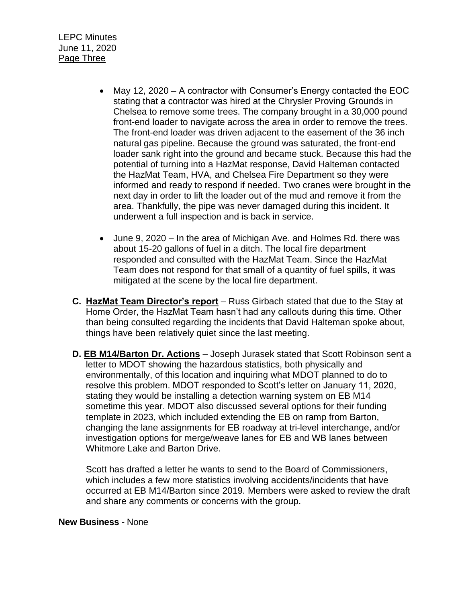- May 12, 2020 A contractor with Consumer's Energy contacted the EOC stating that a contractor was hired at the Chrysler Proving Grounds in Chelsea to remove some trees. The company brought in a 30,000 pound front-end loader to navigate across the area in order to remove the trees. The front-end loader was driven adjacent to the easement of the 36 inch natural gas pipeline. Because the ground was saturated, the front-end loader sank right into the ground and became stuck. Because this had the potential of turning into a HazMat response, David Halteman contacted the HazMat Team, HVA, and Chelsea Fire Department so they were informed and ready to respond if needed. Two cranes were brought in the next day in order to lift the loader out of the mud and remove it from the area. Thankfully, the pipe was never damaged during this incident. It underwent a full inspection and is back in service.
- June 9, 2020 In the area of Michigan Ave. and Holmes Rd. there was about 15-20 gallons of fuel in a ditch. The local fire department responded and consulted with the HazMat Team. Since the HazMat Team does not respond for that small of a quantity of fuel spills, it was mitigated at the scene by the local fire department.
- **C. HazMat Team Director's report** Russ Girbach stated that due to the Stay at Home Order, the HazMat Team hasn't had any callouts during this time. Other than being consulted regarding the incidents that David Halteman spoke about, things have been relatively quiet since the last meeting.
- **D. EB M14/Barton Dr. Actions** Joseph Jurasek stated that Scott Robinson sent a letter to MDOT showing the hazardous statistics, both physically and environmentally, of this location and inquiring what MDOT planned to do to resolve this problem. MDOT responded to Scott's letter on January 11, 2020, stating they would be installing a detection warning system on EB M14 sometime this year. MDOT also discussed several options for their funding template in 2023, which included extending the EB on ramp from Barton, changing the lane assignments for EB roadway at tri-level interchange, and/or investigation options for merge/weave lanes for EB and WB lanes between Whitmore Lake and Barton Drive.

Scott has drafted a letter he wants to send to the Board of Commissioners, which includes a few more statistics involving accidents/incidents that have occurred at EB M14/Barton since 2019. Members were asked to review the draft and share any comments or concerns with the group.

#### **New Business** - None